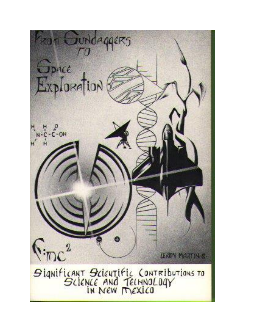ROM SUNDAGACKS  $\sqrt{0}$ Space<br>Exploration  $\frac{4}{c} - \frac{6}{c}$ -OH  $\bullet$  $\sqrt{2}$ **LEROY MARTIN &** SIGNIFICANT SCIENTIFIC CONTRIBUTIONS TO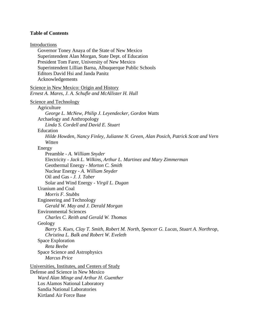# **Table of Contents**

# Introductions

Governor Toney Anaya of the State of New Mexico Superintendent Alan Morgan, State Dept. of Education President Tom Farer, University of New Mexico Superintendent Lillian Barna, Albuquerque Public Schools Editors David Hsi and Janda Panitz Acknowledgements

# Science in New Mexico: Origin and History *Ernest A. Mares, J. A. Schufle and McAllister H. Hull*

### Science and Technology

# Agriculture

*George L. McNew, Philip J. Leyendecker, Gordon Watts* Archaelogy and Anthropology *Linda S. Cordell and David E. Stuart* Education *Hilde Howden, Nancy Finley, Julianne N. Green, Alan Posich, Patrick Scott and Vern Witten* Energy

Preamble - *A. William Snyder* Electricity - *Jack L. Wilkins, Arthur L. Martinez and Mary Zimmerman* Geothermal Energy - *Morton C. Smith* Nuclear Energy - *A. William Snyder* Oil and Gas - *J. J. Taber* Solar and Wind Energy - *Virgil L. Dugan* Uranium and Coal *Morris F. Stubbs* Engineering and Technology *Gerald W. May and J. Derald Morgan* Environmental Sciences *Charles C. Reith and Gerald W. Thomas* Geology *Barry S. Kues, Clay T. Smith, Robert M. North, Spencer G. Lucas, Stuart A. Northrop, Christina L. Balk and Robert W. Eveleth* Space Exploration *Reta Beebe* Space Science and Astrophysics *Marcus Price* Universities, Institutes, and Centers of Study Defense and Science in New Mexico *Ward Alan Minge and Arthur H. Guenther* Los Alamos National Laboratory

Sandia National Laboratories

Kirtland Air Force Base